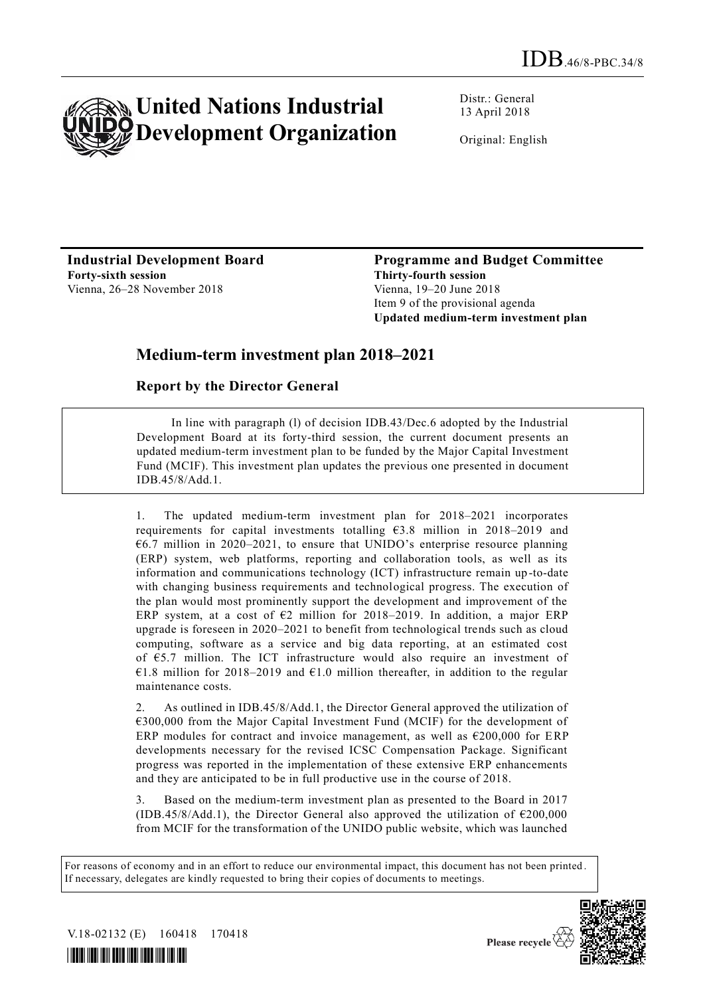

Distr.: General 13 April 2018

Original: English

**Industrial Development Board Forty-sixth session** Vienna, 26–28 November 2018

**Programme and Budget Committee Thirty-fourth session** Vienna, 19–20 June 2018 Item 9 of the provisional agenda **Updated medium-term investment plan**

## **Medium-term investment plan 2018–2021**

### **Report by the Director General**

In line with paragraph (l) of decision IDB.43/Dec.6 adopted by the Industrial Development Board at its forty-third session, the current document presents an updated medium-term investment plan to be funded by the Major Capital Investment Fund (MCIF). This investment plan updates the previous one presented in document IDB.45/8/Add.1.

1. The updated medium-term investment plan for 2018–2021 incorporates requirements for capital investments totalling  $63.8$  million in 2018–2019 and  $66.7$  million in 2020–2021, to ensure that UNIDO's enterprise resource planning (ERP) system, web platforms, reporting and collaboration tools, as well as its information and communications technology (ICT) infrastructure remain up -to-date with changing business requirements and technological progress. The execution of the plan would most prominently support the development and improvement of the ERP system, at a cost of  $E2$  million for 2018–2019. In addition, a major ERP upgrade is foreseen in 2020–2021 to benefit from technological trends such as cloud computing, software as a service and big data reporting, at an estimated cost of €5.7 million. The ICT infrastructure would also require an investment of €1.8 million for 2018–2019 and €1.0 million thereafter, in addition to the regular maintenance costs.

As outlined in IDB.45/8/Add.1, the Director General approved the utilization of €300,000 from the Major Capital Investment Fund (MCIF) for the development of ERP modules for contract and invoice management, as well as  $\epsilon$ 200,000 for ERP developments necessary for the revised ICSC Compensation Package. Significant progress was reported in the implementation of these extensive ERP enhancements and they are anticipated to be in full productive use in the course of 2018.

3. Based on the medium-term investment plan as presented to the Board in 2017 (IDB.45/8/Add.1), the Director General also approved the utilization of  $\epsilon$ 200,000 from MCIF for the transformation of the UNIDO public website, which was launched

For reasons of economy and in an effort to reduce our environmental impact, this document has not been printed . If necessary, delegates are kindly requested to bring their copies of documents to meetings.



V.18-02132 (E) 160418 170418

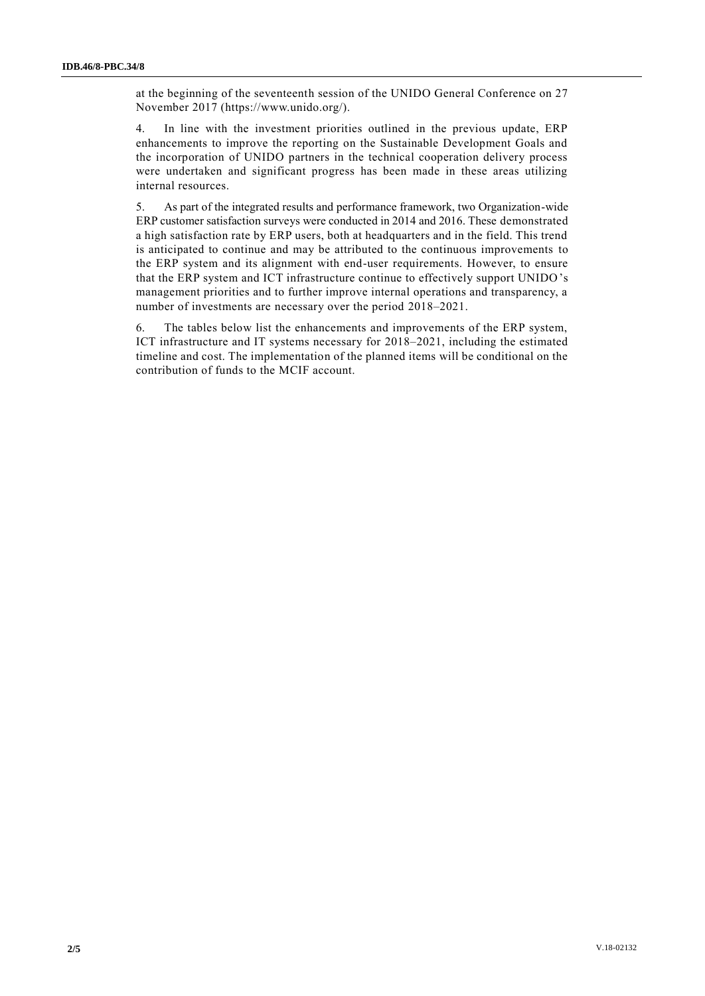at the beginning of the seventeenth session of the UNIDO General Conference on 27 November 2017 (https://www.unido.org/).

4. In line with the investment priorities outlined in the previous update, ERP enhancements to improve the reporting on the Sustainable Development Goals and the incorporation of UNIDO partners in the technical cooperation delivery process were undertaken and significant progress has been made in these areas utilizing internal resources.

5. As part of the integrated results and performance framework, two Organization-wide ERP customer satisfaction surveys were conducted in 2014 and 2016. These demonstrated a high satisfaction rate by ERP users, both at headquarters and in the field. This trend is anticipated to continue and may be attributed to the continuous improvements to the ERP system and its alignment with end-user requirements. However, to ensure that the ERP system and ICT infrastructure continue to effectively support UNIDO's management priorities and to further improve internal operations and transparency, a number of investments are necessary over the period 2018–2021.

6. The tables below list the enhancements and improvements of the ERP system, ICT infrastructure and IT systems necessary for 2018–2021, including the estimated timeline and cost. The implementation of the planned items will be conditional on the contribution of funds to the MCIF account.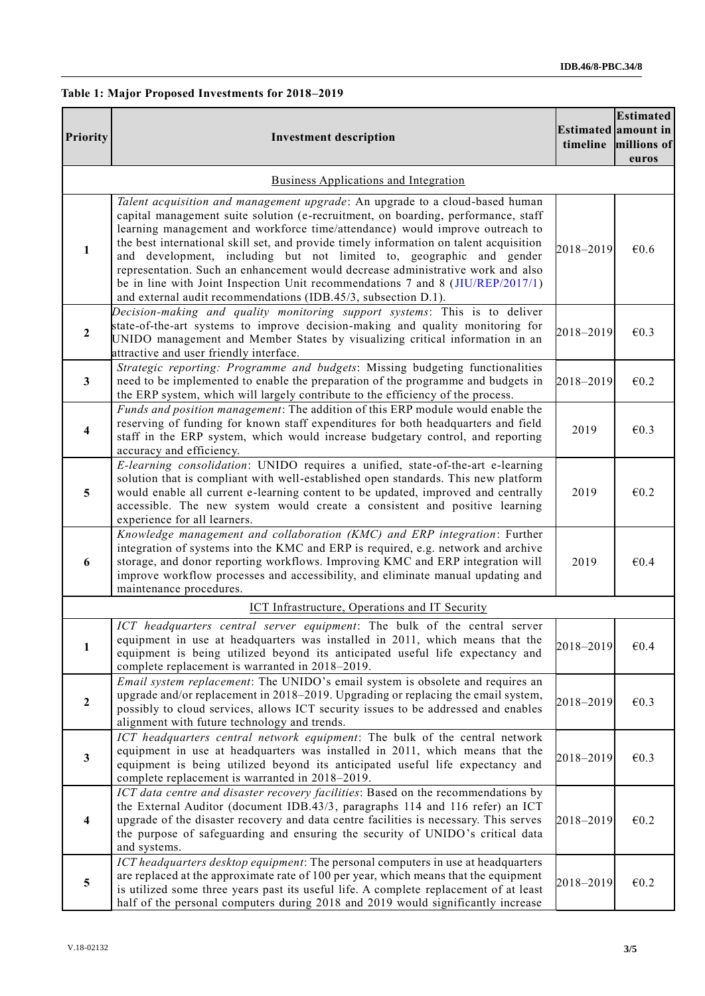#### **Table 1: Major Proposed Investments for 2018–2019**

| Priority                | <b>Investment description</b>                                                                                                                                                                                                                                                                                                                                                                                                                                                                                                                                                                                                                              | timeline  | <b>Estimated</b><br>Estimated amount in<br>millions of<br>euros |
|-------------------------|------------------------------------------------------------------------------------------------------------------------------------------------------------------------------------------------------------------------------------------------------------------------------------------------------------------------------------------------------------------------------------------------------------------------------------------------------------------------------------------------------------------------------------------------------------------------------------------------------------------------------------------------------------|-----------|-----------------------------------------------------------------|
|                         | Business Applications and Integration                                                                                                                                                                                                                                                                                                                                                                                                                                                                                                                                                                                                                      |           |                                                                 |
| $\mathbf{1}$            | Talent acquisition and management upgrade: An upgrade to a cloud-based human<br>capital management suite solution (e-recruitment, on boarding, performance, staff<br>learning management and workforce time/attendance) would improve outreach to<br>the best international skill set, and provide timely information on talent acquisition<br>and development, including but not limited to, geographic and gender<br>representation. Such an enhancement would decrease administrative work and also<br>be in line with Joint Inspection Unit recommendations 7 and 8 (JIU/REP/2017/1)<br>and external audit recommendations (IDB.45/3, subsection D.1). | 2018-2019 | €0.6                                                            |
| $\overline{2}$          | Decision-making and quality monitoring support systems: This is to deliver<br>state-of-the-art systems to improve decision-making and quality monitoring for<br>UNIDO management and Member States by visualizing critical information in an<br>attractive and user friendly interface.                                                                                                                                                                                                                                                                                                                                                                    | 2018-2019 | $\epsilon$ <sub>0.3</sub>                                       |
| $\mathbf{3}$            | Strategic reporting: Programme and budgets: Missing budgeting functionalities<br>need to be implemented to enable the preparation of the programme and budgets in<br>the ERP system, which will largely contribute to the efficiency of the process.                                                                                                                                                                                                                                                                                                                                                                                                       | 2018-2019 | $\epsilon$ 0.2                                                  |
| 4                       | Funds and position management: The addition of this ERP module would enable the<br>reserving of funding for known staff expenditures for both headquarters and field<br>staff in the ERP system, which would increase budgetary control, and reporting<br>accuracy and efficiency.                                                                                                                                                                                                                                                                                                                                                                         | 2019      | $\epsilon$ <sub>0.3</sub>                                       |
| 5                       | E-learning consolidation: UNIDO requires a unified, state-of-the-art e-learning<br>solution that is compliant with well-established open standards. This new platform<br>would enable all current e-learning content to be updated, improved and centrally<br>accessible. The new system would create a consistent and positive learning<br>experience for all learners.                                                                                                                                                                                                                                                                                   | 2019      | $\epsilon$ 0.2                                                  |
| 6                       | Knowledge management and collaboration (KMC) and ERP integration: Further<br>integration of systems into the KMC and ERP is required, e.g. network and archive<br>storage, and donor reporting workflows. Improving KMC and ERP integration will<br>improve workflow processes and accessibility, and eliminate manual updating and<br>maintenance procedures.                                                                                                                                                                                                                                                                                             | 2019      | €0.4                                                            |
|                         | ICT Infrastructure, Operations and IT Security                                                                                                                                                                                                                                                                                                                                                                                                                                                                                                                                                                                                             |           |                                                                 |
| $\mathbf{1}$            | ICT headquarters central server equipment: The bulk of the central server<br>equipment in use at headquarters was installed in 2011, which means that the<br>equipment is being utilized beyond its anticipated useful life expectancy and<br>complete replacement is warranted in 2018-2019.                                                                                                                                                                                                                                                                                                                                                              | 2018-2019 | €0.4                                                            |
| $\overline{2}$          | Email system replacement: The UNIDO's email system is obsolete and requires an<br>upgrade and/or replacement in 2018-2019. Upgrading or replacing the email system,<br>possibly to cloud services, allows ICT security issues to be addressed and enables<br>alignment with future technology and trends.                                                                                                                                                                                                                                                                                                                                                  | 2018-2019 | $\epsilon$ 0.3                                                  |
| $\mathbf{3}$            | ICT headquarters central network equipment: The bulk of the central network<br>equipment in use at headquarters was installed in 2011, which means that the<br>equipment is being utilized beyond its anticipated useful life expectancy and<br>complete replacement is warranted in 2018-2019.                                                                                                                                                                                                                                                                                                                                                            | 2018-2019 | $\epsilon$ <sub>0.3</sub>                                       |
| $\overline{\mathbf{4}}$ | ICT data centre and disaster recovery facilities: Based on the recommendations by<br>the External Auditor (document IDB.43/3, paragraphs 114 and 116 refer) an ICT<br>upgrade of the disaster recovery and data centre facilities is necessary. This serves<br>the purpose of safeguarding and ensuring the security of UNIDO's critical data<br>and systems.                                                                                                                                                                                                                                                                                              | 2018-2019 | $\epsilon$ 0.2                                                  |
| $5\phantom{.0}$         | ICT headquarters desktop equipment: The personal computers in use at headquarters<br>are replaced at the approximate rate of 100 per year, which means that the equipment<br>is utilized some three years past its useful life. A complete replacement of at least<br>half of the personal computers during 2018 and 2019 would significantly increase                                                                                                                                                                                                                                                                                                     | 2018-2019 | $\epsilon$ 0.2                                                  |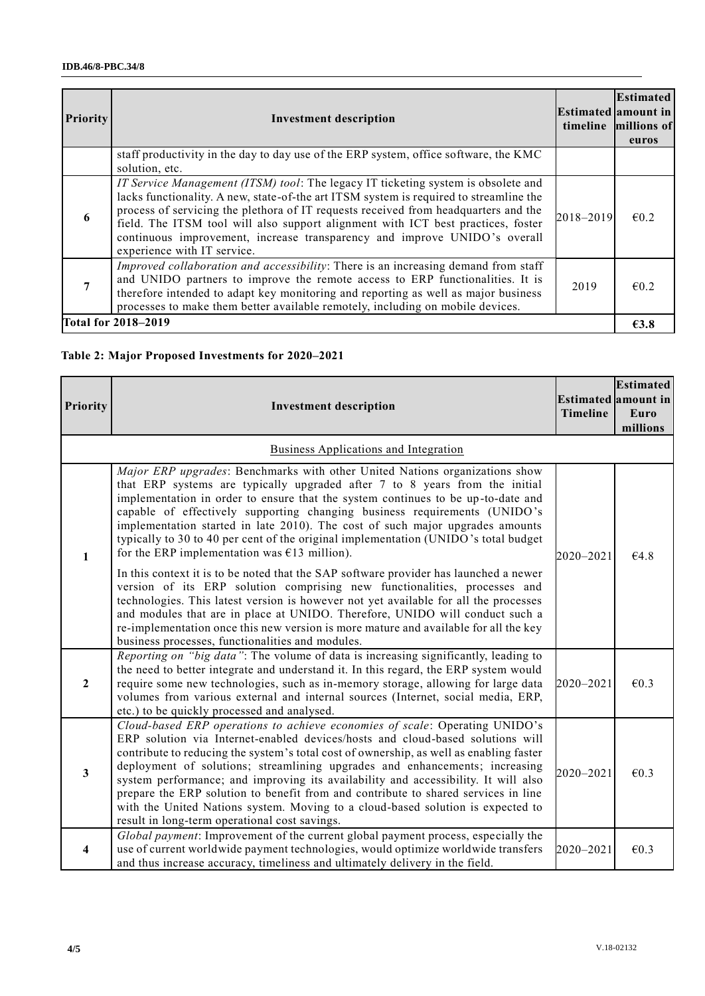| <b>Priority</b>            | <b>Investment description</b>                                                                                                                                                                                                                                                                                                                                                                                                                                      |           | <b>Estimated</b><br> Estimated amount in <br>timeline millions of<br>euros |
|----------------------------|--------------------------------------------------------------------------------------------------------------------------------------------------------------------------------------------------------------------------------------------------------------------------------------------------------------------------------------------------------------------------------------------------------------------------------------------------------------------|-----------|----------------------------------------------------------------------------|
|                            | staff productivity in the day to day use of the ERP system, office software, the KMC<br>solution, etc.                                                                                                                                                                                                                                                                                                                                                             |           |                                                                            |
| 6                          | IT Service Management (ITSM) tool: The legacy IT ticketing system is obsolete and<br>lacks functionality. A new, state-of-the art ITSM system is required to streamline the<br>process of servicing the plethora of IT requests received from headquarters and the<br>field. The ITSM tool will also support alignment with ICT best practices, foster<br>continuous improvement, increase transparency and improve UNIDO's overall<br>experience with IT service. | 2018-2019 | $\epsilon$ 0.2                                                             |
|                            | Improved collaboration and accessibility: There is an increasing demand from staff<br>and UNIDO partners to improve the remote access to ERP functionalities. It is<br>therefore intended to adapt key monitoring and reporting as well as major business<br>processes to make them better available remotely, including on mobile devices.                                                                                                                        | 2019      | $\epsilon$ 0.2                                                             |
| <b>Total for 2018–2019</b> |                                                                                                                                                                                                                                                                                                                                                                                                                                                                    |           | E3.8                                                                       |

#### **Table 2: Major Proposed Investments for 2020–2021**

| <b>Priority</b>         | <b>Investment description</b>                                                                                                                                                                                                                                                                                                                                                                                                                                                                                                                                                                                                                           | <b>Timeline</b> | <b>Estimated</b><br><b>Estimated</b> amount in<br>Euro<br>millions |  |  |
|-------------------------|---------------------------------------------------------------------------------------------------------------------------------------------------------------------------------------------------------------------------------------------------------------------------------------------------------------------------------------------------------------------------------------------------------------------------------------------------------------------------------------------------------------------------------------------------------------------------------------------------------------------------------------------------------|-----------------|--------------------------------------------------------------------|--|--|
|                         | <b>Business Applications and Integration</b>                                                                                                                                                                                                                                                                                                                                                                                                                                                                                                                                                                                                            |                 |                                                                    |  |  |
| $\mathbf{1}$            | Major ERP upgrades: Benchmarks with other United Nations organizations show<br>that ERP systems are typically upgraded after 7 to 8 years from the initial<br>implementation in order to ensure that the system continues to be up-to-date and<br>capable of effectively supporting changing business requirements (UNIDO's<br>implementation started in late 2010). The cost of such major upgrades amounts<br>typically to 30 to 40 per cent of the original implementation (UNIDO's total budget<br>for the ERP implementation was $£13$ million).                                                                                                   | 2020-2021       | €4.8                                                               |  |  |
|                         | In this context it is to be noted that the SAP software provider has launched a newer<br>version of its ERP solution comprising new functionalities, processes and<br>technologies. This latest version is however not yet available for all the processes<br>and modules that are in place at UNIDO. Therefore, UNIDO will conduct such a<br>re-implementation once this new version is more mature and available for all the key<br>business processes, functionalities and modules.                                                                                                                                                                  |                 |                                                                    |  |  |
| $\overline{2}$          | Reporting on "big data": The volume of data is increasing significantly, leading to<br>the need to better integrate and understand it. In this regard, the ERP system would<br>require some new technologies, such as in-memory storage, allowing for large data<br>volumes from various external and internal sources (Internet, social media, ERP,<br>etc.) to be quickly processed and analysed.                                                                                                                                                                                                                                                     | 2020-2021       | $\epsilon$ 0.3                                                     |  |  |
| $\mathbf{3}$            | Cloud-based ERP operations to achieve economies of scale: Operating UNIDO's<br>ERP solution via Internet-enabled devices/hosts and cloud-based solutions will<br>contribute to reducing the system's total cost of ownership, as well as enabling faster<br>deployment of solutions; streamlining upgrades and enhancements; increasing<br>system performance; and improving its availability and accessibility. It will also<br>prepare the ERP solution to benefit from and contribute to shared services in line<br>with the United Nations system. Moving to a cloud-based solution is expected to<br>result in long-term operational cost savings. | 2020-2021       | $\epsilon$ 0.3                                                     |  |  |
| $\overline{\mathbf{4}}$ | Global payment: Improvement of the current global payment process, especially the<br>use of current worldwide payment technologies, would optimize worldwide transfers<br>and thus increase accuracy, timeliness and ultimately delivery in the field.                                                                                                                                                                                                                                                                                                                                                                                                  | 2020-2021       | $\epsilon$ 0.3                                                     |  |  |